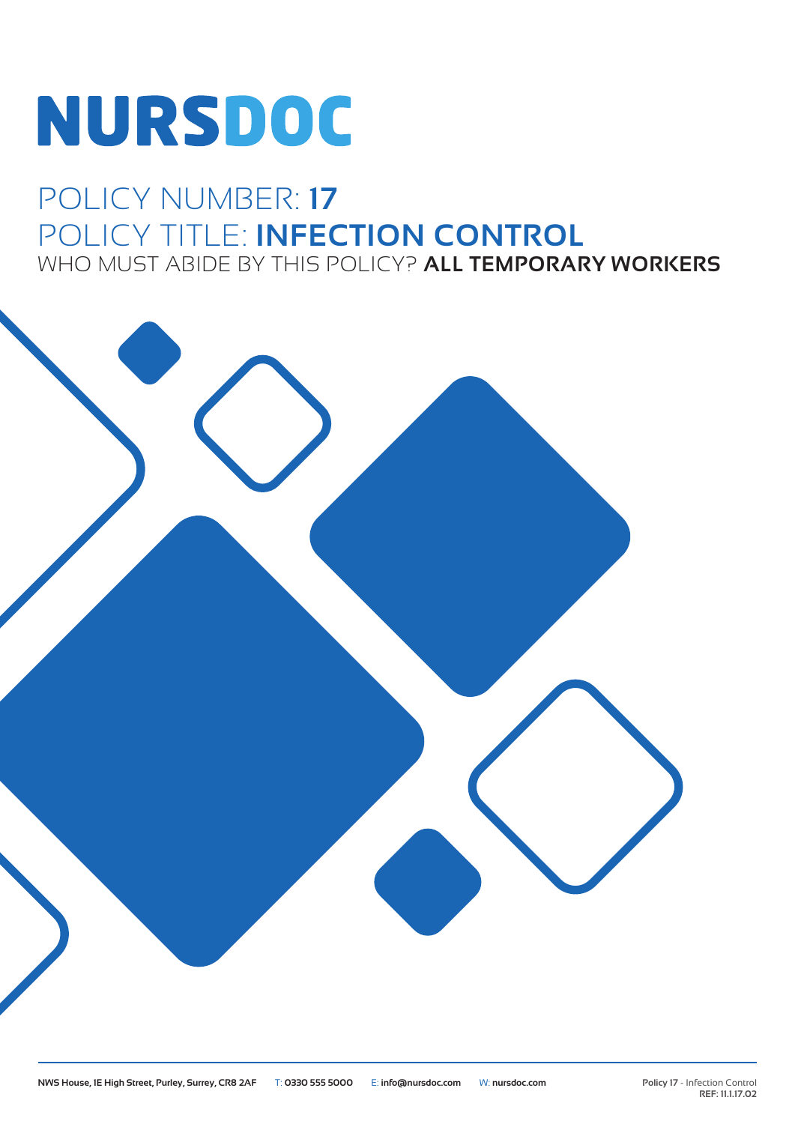# NURSDOC

### POLICY NUMBER: **17** POLICY TITLE: **INFECTION CONTROL** WHO MUST ABIDE BY THIS POLICY? **ALL TEMPORARY WORKERS**

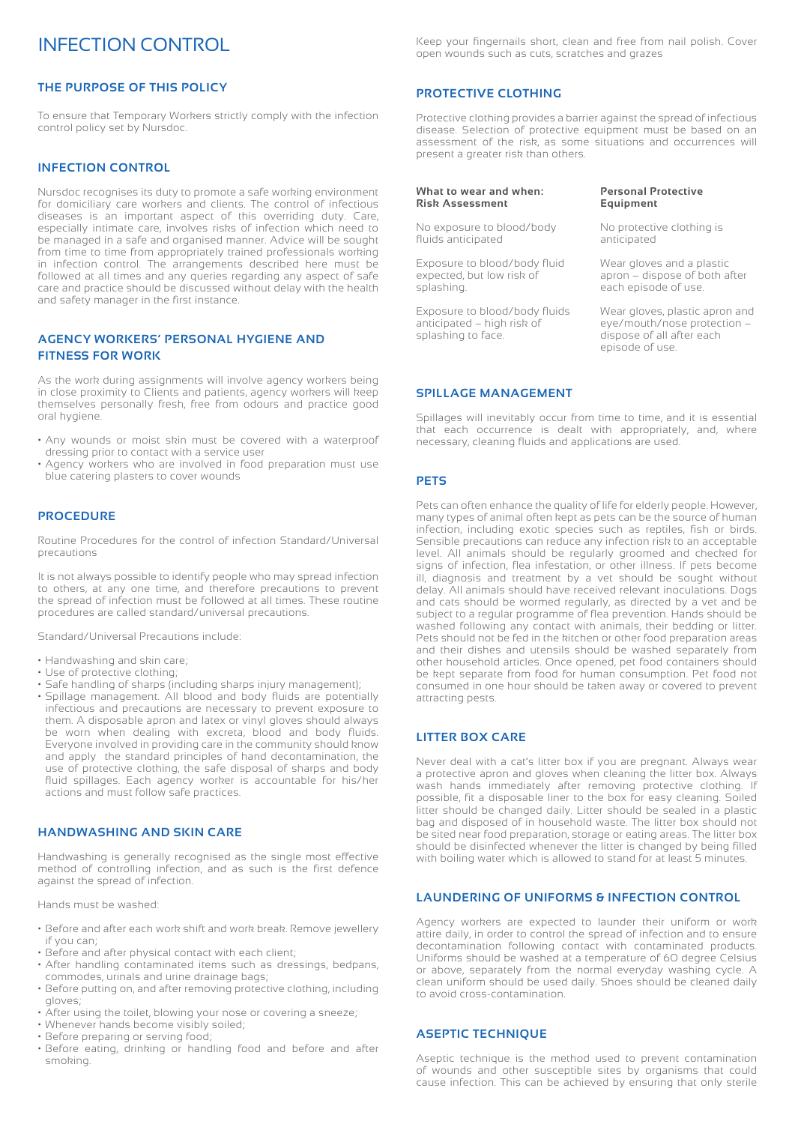#### INFECTION CONTROL

#### **THE PURPOSE OF THIS POLICY**

To ensure that Temporary Workers strictly comply with the infection control policy set by Nursdoc.

#### **INFECTION CONTROL**

Nursdoc recognises its duty to promote a safe working environment for domiciliary care workers and clients. The control of infectious diseases is an important aspect of this overriding duty. Care, especially intimate care, involves risks of infection which need to be managed in a safe and organised manner. Advice will be sought from time to time from appropriately trained professionals working in infection control. The arrangements described here must be followed at all times and any queries regarding any aspect of safe care and practice should be discussed without delay with the health and safety manager in the first instance.

#### **AGENCY WORKERS' PERSONAL HYGIENE AND FITNESS FOR WORK**

As the work during assignments will involve agency workers being in close proximity to Clients and patients, agency workers will keep themselves personally fresh, free from odours and practice good oral hygiene.

- Any wounds or moist skin must be covered with a waterproof dressing prior to contact with a service user
- Agency workers who are involved in food preparation must use blue catering plasters to cover wounds

#### **PROCEDURE**

Routine Procedures for the control of infection Standard/Universal precautions

It is not always possible to identify people who may spread infection to others, at any one time, and therefore precautions to prevent the spread of infection must be followed at all times. These routine procedures are called standard/universal precautions.

Standard/Universal Precautions include:

- Handwashing and skin care;
- Use of protective clothing;
- Safe handling of sharps (including sharps injury management);
- Spillage management. All blood and body fluids are potentially infectious and precautions are necessary to prevent exposure to them. A disposable apron and latex or vinyl gloves should always be worn when dealing with excreta, blood and body fluids. Everyone involved in providing care in the community should know and apply the standard principles of hand decontamination, the use of protective clothing, the safe disposal of sharps and body fluid spillages. Each agency worker is accountable for his/her actions and must follow safe practices.

#### **HANDWASHING AND SKIN CARE**

Handwashing is generally recognised as the single most effective method of controlling infection, and as such is the first defence against the spread of infection.

Hands must be washed:

- Before and after each work shift and work break. Remove jewellery if you can;
- Before and after physical contact with each client;
- After handling contaminated items such as dressings, bedpans, commodes, urinals and urine drainage bags;
- Before putting on, and after removing protective clothing, including gloves;
- After using the toilet, blowing your nose or covering a sneeze;
- Whenever hands become visibly soiled;
- Before preparing or serving food;
- Before eating, drinking or handling food and before and after smoking.

Keep your fingernails short, clean and free from nail polish. Cover open wounds such as cuts, scratches and grazes

#### **PROTECTIVE CLOTHING**

Protective clothing provides a barrier against the spread of infectious disease. Selection of protective equipment must be based on an assessment of the risk, as some situations and occurrences will present a greater risk than others.

#### **What to wear and when: Risk Assessment**

No exposure to blood/body fluids anticipated

Exposure to blood/body fluid expected, but low risk of splashing.

Exposure to blood/body fluids anticipated – high risk of splashing to face.

#### **Personal Protective Equipment**

No protective clothing is anticipated

Wear gloves and a plastic apron – dispose of both after each episode of use.

Wear gloves, plastic apron and eye/mouth/nose protection – dispose of all after each episode of use.

#### **SPILLAGE MANAGEMENT**

Spillages will inevitably occur from time to time, and it is essential that each occurrence is dealt with appropriately, and, where necessary, cleaning fluids and applications are used.

#### **PETS**

Pets can often enhance the quality of life for elderly people. However, many types of animal often kept as pets can be the source of human infection, including exotic species such as reptiles, fish or birds. Sensible precautions can reduce any infection risk to an acceptable level. All animals should be regularly groomed and checked for signs of infection, flea infestation, or other illness. If pets become ill, diagnosis and treatment by a vet should be sought without delay. All animals should have received relevant inoculations. Dogs and cats should be wormed regularly, as directed by a vet and be subject to a regular programme of flea prevention. Hands should be washed following any contact with animals, their bedding or litter. Pets should not be fed in the kitchen or other food preparation areas and their dishes and utensils should be washed separately from other household articles. Once opened, pet food containers should be kept separate from food for human consumption. Pet food not consumed in one hour should be taken away or covered to prevent attracting pests.

#### **LITTER BOX CARE**

Never deal with a cat's litter box if you are pregnant. Always wear a protective apron and gloves when cleaning the litter box. Always wash hands immediately after removing protective clothing. If possible, fit a disposable liner to the box for easy cleaning. Soiled litter should be changed daily. Litter should be sealed in a plastic bag and disposed of in household waste. The litter box should not be sited near food preparation, storage or eating areas. The litter box should be disinfected whenever the litter is changed by being filled with boiling water which is allowed to stand for at least 5 minutes.

#### **LAUNDERING OF UNIFORMS & INFECTION CONTROL**

Agency workers are expected to launder their uniform or work attire daily, in order to control the spread of infection and to ensure decontamination following contact with contaminated products. Uniforms should be washed at a temperature of 60 degree Celsius or above, separately from the normal everyday washing cycle. A clean uniform should be used daily. Shoes should be cleaned daily to avoid cross-contamination.

#### **ASEPTIC TECHNIQUE**

Aseptic technique is the method used to prevent contamination of wounds and other susceptible sites by organisms that could cause infection. This can be achieved by ensuring that only sterile